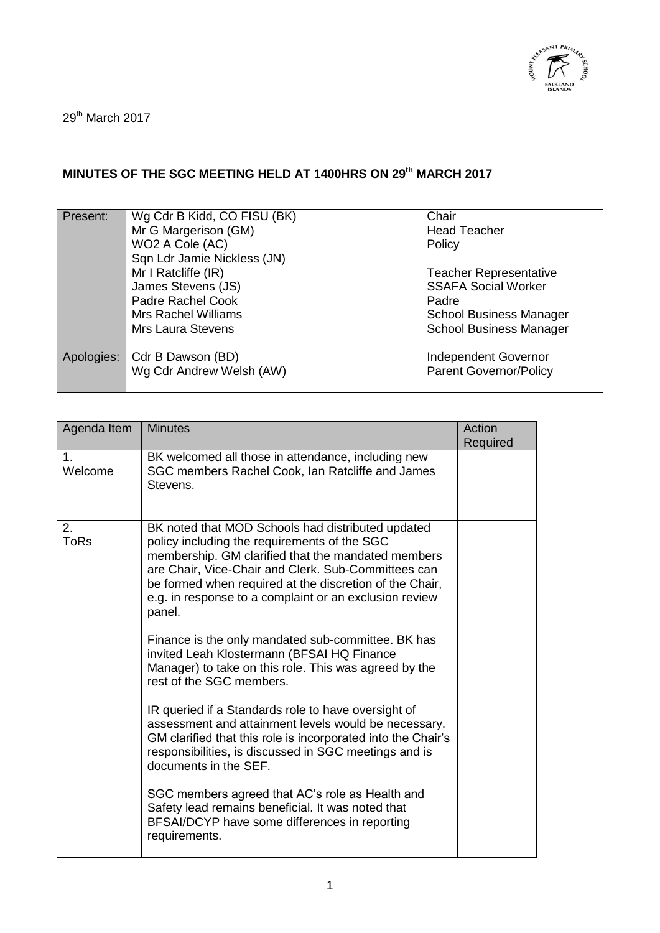

29<sup>th</sup> March 2017

## **MINUTES OF THE SGC MEETING HELD AT 1400HRS ON 29th MARCH 2017**

| Present:   | Wg Cdr B Kidd, CO FISU (BK)<br>Mr G Margerison (GM)<br>WO2 A Cole (AC)<br>Sqn Ldr Jamie Nickless (JN)<br>Mr I Ratcliffe (IR)<br>James Stevens (JS)<br>Padre Rachel Cook<br>Mrs Rachel Williams<br>Mrs Laura Stevens | Chair<br><b>Head Teacher</b><br>Policy<br><b>Teacher Representative</b><br><b>SSAFA Social Worker</b><br>Padre<br><b>School Business Manager</b><br><b>School Business Manager</b> |
|------------|---------------------------------------------------------------------------------------------------------------------------------------------------------------------------------------------------------------------|------------------------------------------------------------------------------------------------------------------------------------------------------------------------------------|
| Apologies: | Cdr B Dawson (BD)<br>Wg Cdr Andrew Welsh (AW)                                                                                                                                                                       | Independent Governor<br><b>Parent Governor/Policy</b>                                                                                                                              |

| Agenda Item               | <b>Minutes</b>                                                                                                                                                                                                                                                                                                                                | Action<br>Required |
|---------------------------|-----------------------------------------------------------------------------------------------------------------------------------------------------------------------------------------------------------------------------------------------------------------------------------------------------------------------------------------------|--------------------|
| 1 <sub>1</sub><br>Welcome | BK welcomed all those in attendance, including new<br>SGC members Rachel Cook, Ian Ratcliffe and James<br>Stevens.                                                                                                                                                                                                                            |                    |
| 2.<br><b>ToRs</b>         | BK noted that MOD Schools had distributed updated<br>policy including the requirements of the SGC<br>membership. GM clarified that the mandated members<br>are Chair, Vice-Chair and Clerk. Sub-Committees can<br>be formed when required at the discretion of the Chair,<br>e.g. in response to a complaint or an exclusion review<br>panel. |                    |
|                           | Finance is the only mandated sub-committee. BK has<br>invited Leah Klostermann (BFSAI HQ Finance<br>Manager) to take on this role. This was agreed by the<br>rest of the SGC members.                                                                                                                                                         |                    |
|                           | IR queried if a Standards role to have oversight of<br>assessment and attainment levels would be necessary.<br>GM clarified that this role is incorporated into the Chair's<br>responsibilities, is discussed in SGC meetings and is<br>documents in the SEF.                                                                                 |                    |
|                           | SGC members agreed that AC's role as Health and<br>Safety lead remains beneficial. It was noted that<br>BFSAI/DCYP have some differences in reporting<br>requirements.                                                                                                                                                                        |                    |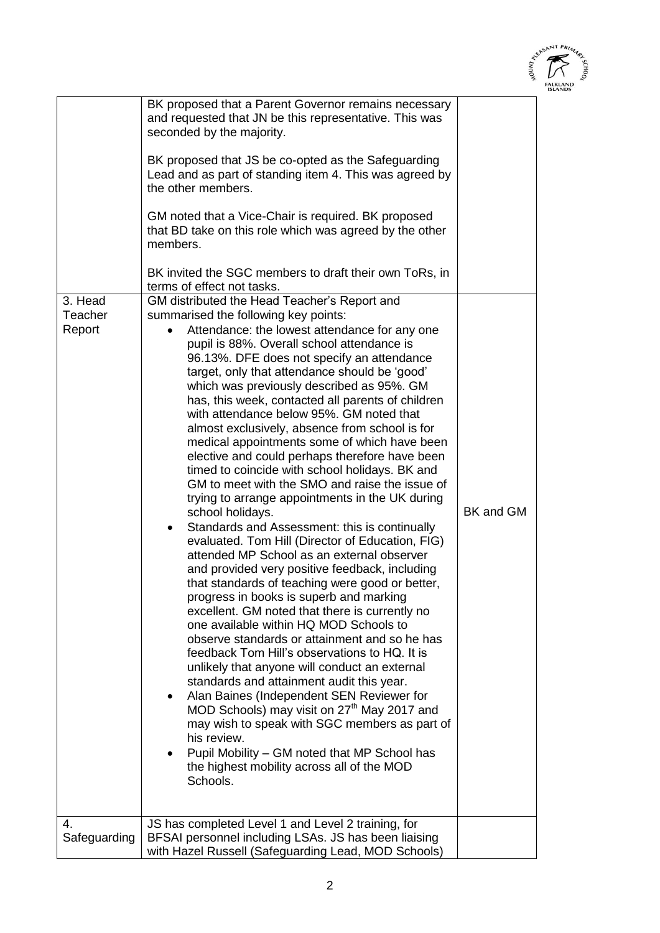

|                              | BK proposed that a Parent Governor remains necessary<br>and requested that JN be this representative. This was                                                                                                                                                                                                                                                                                                                                                                                                                                                                                                                                                                                                                                                                                                                                                                                                                                                                                                                                                                                                                                                                                                                                                                                                                                                                                                                                                                                                                                                                                                                                                             |           |
|------------------------------|----------------------------------------------------------------------------------------------------------------------------------------------------------------------------------------------------------------------------------------------------------------------------------------------------------------------------------------------------------------------------------------------------------------------------------------------------------------------------------------------------------------------------------------------------------------------------------------------------------------------------------------------------------------------------------------------------------------------------------------------------------------------------------------------------------------------------------------------------------------------------------------------------------------------------------------------------------------------------------------------------------------------------------------------------------------------------------------------------------------------------------------------------------------------------------------------------------------------------------------------------------------------------------------------------------------------------------------------------------------------------------------------------------------------------------------------------------------------------------------------------------------------------------------------------------------------------------------------------------------------------------------------------------------------------|-----------|
|                              | seconded by the majority.<br>BK proposed that JS be co-opted as the Safeguarding                                                                                                                                                                                                                                                                                                                                                                                                                                                                                                                                                                                                                                                                                                                                                                                                                                                                                                                                                                                                                                                                                                                                                                                                                                                                                                                                                                                                                                                                                                                                                                                           |           |
|                              | Lead and as part of standing item 4. This was agreed by<br>the other members.                                                                                                                                                                                                                                                                                                                                                                                                                                                                                                                                                                                                                                                                                                                                                                                                                                                                                                                                                                                                                                                                                                                                                                                                                                                                                                                                                                                                                                                                                                                                                                                              |           |
|                              | GM noted that a Vice-Chair is required. BK proposed<br>that BD take on this role which was agreed by the other<br>members.                                                                                                                                                                                                                                                                                                                                                                                                                                                                                                                                                                                                                                                                                                                                                                                                                                                                                                                                                                                                                                                                                                                                                                                                                                                                                                                                                                                                                                                                                                                                                 |           |
|                              | BK invited the SGC members to draft their own ToRs, in<br>terms of effect not tasks.                                                                                                                                                                                                                                                                                                                                                                                                                                                                                                                                                                                                                                                                                                                                                                                                                                                                                                                                                                                                                                                                                                                                                                                                                                                                                                                                                                                                                                                                                                                                                                                       |           |
| 3. Head<br>Teacher<br>Report | GM distributed the Head Teacher's Report and<br>summarised the following key points:<br>Attendance: the lowest attendance for any one<br>pupil is 88%. Overall school attendance is<br>96.13%. DFE does not specify an attendance<br>target, only that attendance should be 'good'<br>which was previously described as 95%. GM<br>has, this week, contacted all parents of children<br>with attendance below 95%. GM noted that<br>almost exclusively, absence from school is for<br>medical appointments some of which have been<br>elective and could perhaps therefore have been<br>timed to coincide with school holidays. BK and<br>GM to meet with the SMO and raise the issue of<br>trying to arrange appointments in the UK during<br>school holidays.<br>Standards and Assessment: this is continually<br>$\bullet$<br>evaluated. Tom Hill (Director of Education, FIG)<br>attended MP School as an external observer<br>and provided very positive feedback, including<br>that standards of teaching were good or better,<br>progress in books is superb and marking<br>excellent. GM noted that there is currently no<br>one available within HQ MOD Schools to<br>observe standards or attainment and so he has<br>feedback Tom Hill's observations to HQ. It is<br>unlikely that anyone will conduct an external<br>standards and attainment audit this year.<br>Alan Baines (Independent SEN Reviewer for<br>$\bullet$<br>MOD Schools) may visit on 27 <sup>th</sup> May 2017 and<br>may wish to speak with SGC members as part of<br>his review.<br>Pupil Mobility – GM noted that MP School has<br>the highest mobility across all of the MOD<br>Schools. | BK and GM |
| 4.                           | JS has completed Level 1 and Level 2 training, for                                                                                                                                                                                                                                                                                                                                                                                                                                                                                                                                                                                                                                                                                                                                                                                                                                                                                                                                                                                                                                                                                                                                                                                                                                                                                                                                                                                                                                                                                                                                                                                                                         |           |
| Safeguarding                 | BFSAI personnel including LSAs. JS has been liaising<br>with Hazel Russell (Safeguarding Lead, MOD Schools)                                                                                                                                                                                                                                                                                                                                                                                                                                                                                                                                                                                                                                                                                                                                                                                                                                                                                                                                                                                                                                                                                                                                                                                                                                                                                                                                                                                                                                                                                                                                                                |           |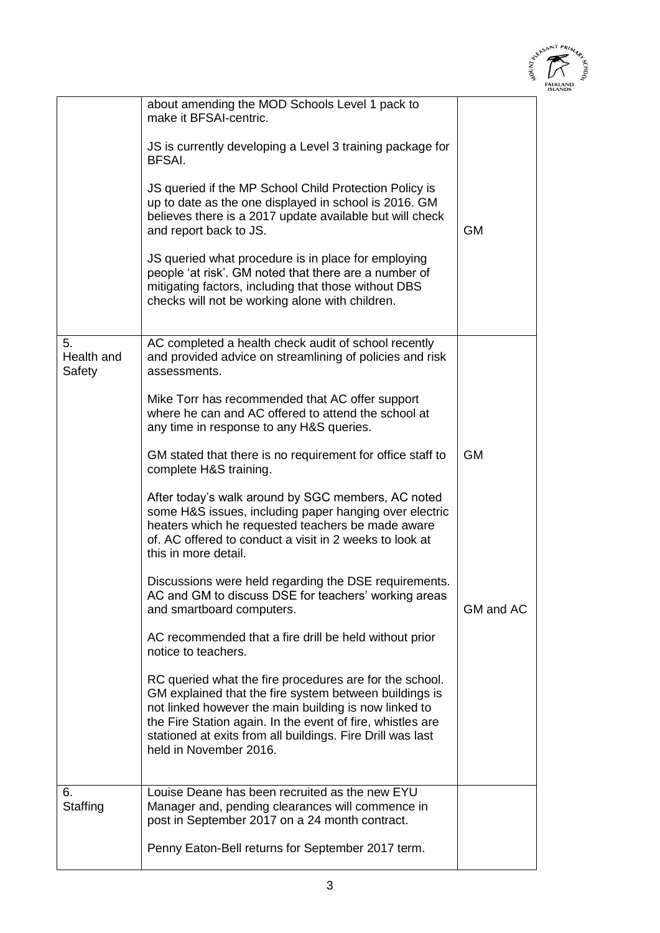|                                                                                                                                                                             | <b>INNONY</b> | altASANT<br>$A$ schoo |
|-----------------------------------------------------------------------------------------------------------------------------------------------------------------------------|---------------|-----------------------|
| about amending the MOD Schools Level 1 pack to<br>make it BFSAI-centric.                                                                                                    |               |                       |
| JS is currently developing a Level 3 training package for<br>BFSAI.                                                                                                         |               |                       |
| JS queried if the MP School Child Protection Policy is<br>up to date as the one displayed in school is 2016. GM<br>believes there is a 2017 update available but will check |               |                       |
| and report back to JS.                                                                                                                                                      | GМ            |                       |
| <u>IS queried what procedure is in place for employing</u>                                                                                                                  |               |                       |

|                            | JS queried if the MP School Child Protection Policy is<br>up to date as the one displayed in school is 2016. GM<br>believes there is a 2017 update available but will check<br>and report back to JS.<br>JS queried what procedure is in place for employing<br>people 'at risk'. GM noted that there are a number of<br>mitigating factors, including that those without DBS<br>checks will not be working alone with children. | <b>GM</b> |
|----------------------------|----------------------------------------------------------------------------------------------------------------------------------------------------------------------------------------------------------------------------------------------------------------------------------------------------------------------------------------------------------------------------------------------------------------------------------|-----------|
| 5.<br>Health and<br>Safety | AC completed a health check audit of school recently<br>and provided advice on streamlining of policies and risk<br>assessments.                                                                                                                                                                                                                                                                                                 |           |
|                            | Mike Torr has recommended that AC offer support<br>where he can and AC offered to attend the school at<br>any time in response to any H&S queries.                                                                                                                                                                                                                                                                               |           |
|                            | GM stated that there is no requirement for office staff to<br>complete H&S training.                                                                                                                                                                                                                                                                                                                                             | <b>GM</b> |
|                            | After today's walk around by SGC members, AC noted<br>some H&S issues, including paper hanging over electric<br>heaters which he requested teachers be made aware<br>of. AC offered to conduct a visit in 2 weeks to look at<br>this in more detail.                                                                                                                                                                             |           |
|                            | Discussions were held regarding the DSE requirements.<br>AC and GM to discuss DSE for teachers' working areas<br>and smartboard computers.                                                                                                                                                                                                                                                                                       | GM and AC |
|                            | AC recommended that a fire drill be held without prior<br>notice to teachers.                                                                                                                                                                                                                                                                                                                                                    |           |
|                            | RC queried what the fire procedures are for the school.<br>GM explained that the fire system between buildings is<br>not linked however the main building is now linked to<br>the Fire Station again. In the event of fire, whistles are<br>stationed at exits from all buildings. Fire Drill was last<br>held in November 2016.                                                                                                 |           |
| 6.<br>Staffing             | Louise Deane has been recruited as the new EYU<br>Manager and, pending clearances will commence in<br>post in September 2017 on a 24 month contract.<br>Penny Eaton-Bell returns for September 2017 term.                                                                                                                                                                                                                        |           |
|                            |                                                                                                                                                                                                                                                                                                                                                                                                                                  |           |

 $\overline{a}$